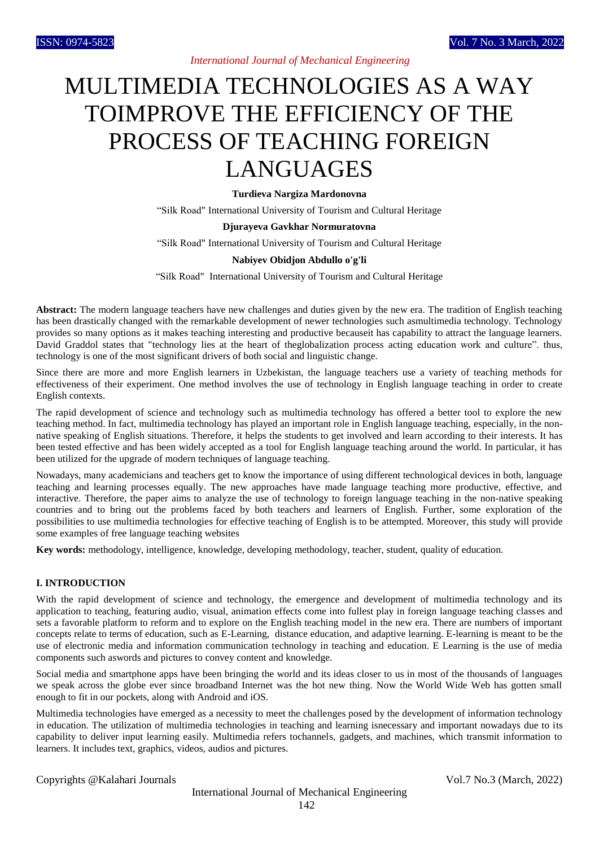# MULTIMEDIA TECHNOLOGIES AS A WAY TOIMPROVE THE EFFICIENCY OF THE PROCESS OF TEACHING FOREIGN LANGUAGES

**Turdieva Nargiza Mardonovna** 

"Silk Road" International University of Tourism and Cultural Heritage

#### **Djurayeva Gavkhar Normuratovna**

"Silk Road" International University of Tourism and Cultural Heritage

### **Nabiyev Obidjon Abdullo o'g'li**

"Silk Road" International University of Tourism and Cultural Heritage

**Abstract:** The modern language teachers have new challenges and duties given by the new era. The tradition of English teaching has been drastically changed with the remarkable development of newer technologies such asmultimedia technology. Technology provides so many options as it makes teaching interesting and productive becauseit has capability to attract the language learners. David Graddol states that "technology lies at the heart of theglobalization process acting education work and culture". thus, technology is one of the most significant drivers of both social and linguistic change.

Since there are more and more English learners in Uzbekistan, the language teachers use a variety of teaching methods for effectiveness of their experiment. One method involves the use of technology in English language teaching in order to create English contexts.

The rapid development of science and technology such as multimedia technology has offered a better tool to explore the new teaching method. In fact, multimedia technology has played an important role in English language teaching, especially, in the nonnative speaking of English situations. Therefore, it helps the students to get involved and learn according to their interests. It has been tested effective and has been widely accepted as a tool for English language teaching around the world. In particular, it has been utilized for the upgrade of modern techniques of language teaching.

Nowadays, many academicians and teachers get to know the importance of using different technological devices in both, language teaching and learning processes equally. The new approaches have made language teaching more productive, effective, and interactive. Therefore, the paper aims to analyze the use of technology to foreign language teaching in the non-native speaking countries and to bring out the problems faced by both teachers and learners of English. Further, some exploration of the possibilities to use multimedia technologies for effective teaching of English is to be attempted. Moreover, this study will provide some examples of free language teaching websites

**Key words:** methodology, intelligence, knowledge, developing methodology, teacher, student, quality of education.

### **I. INTRODUCTION**

With the rapid development of science and technology, the emergence and development of multimedia technology and its application to teaching, featuring audio, visual, animation effects come into fullest play in foreign language teaching classes and sets a favorable platform to reform and to explore on the English teaching model in the new era. There are numbers of important concepts relate to terms of education, such as E-Learning, distance education, and adaptive learning. E-learning is meant to be the use of electronic media and information communication technology in teaching and education. E Learning is the use of media components such aswords and pictures to convey content and knowledge.

Social media and smartphone apps have been bringing the world and its ideas closer to us in most of the thousands of languages we speak across the globe ever since broadband Internet was the hot new thing. Now the World Wide Web has gotten small enough to fit in our pockets, along with Android and iOS.

Multimedia technologies have emerged as a necessity to meet the challenges posed by the development of information technology in education. The utilization of multimedia technologies in teaching and learning isnecessary and important nowadays due to its capability to deliver input learning easily. Multimedia refers tochannels, gadgets, and machines, which transmit information to learners. It includes text, graphics, videos, audios and pictures.

Copyrights @Kalahari Journals Vol.7 No.3 (March, 2022)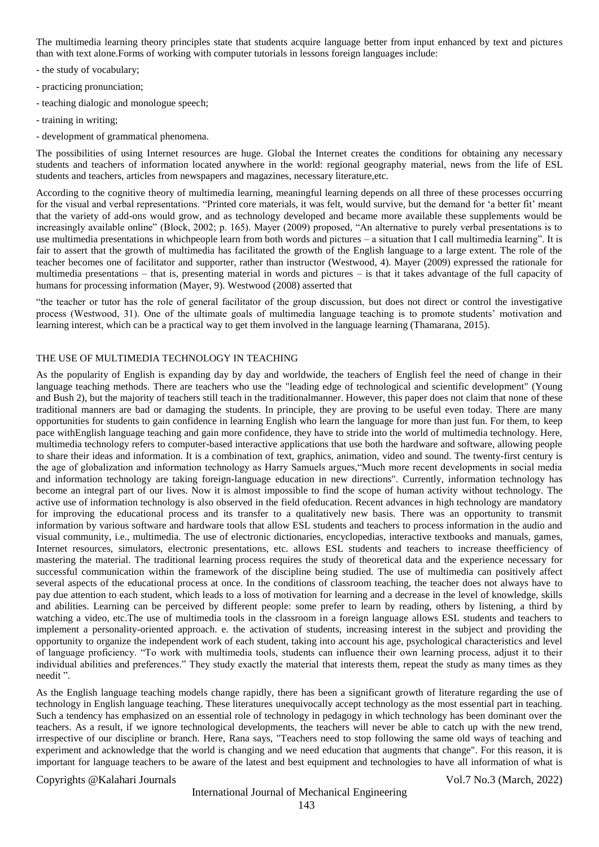The multimedia learning theory principles state that students acquire language better from input enhanced by text and pictures than with text alone.Forms of working with computer tutorials in lessons foreign languages include:

- the study of vocabulary;
- practicing pronunciation;
- teaching dialogic and monologue speech;
- training in writing;
- development of grammatical phenomena.

The possibilities of using Internet resources are huge. Global the Internet creates the conditions for obtaining any necessary students and teachers of information located anywhere in the world: regional geography material, news from the life of ESL students and teachers, articles from newspapers and magazines, necessary literature,etc.

According to the cognitive theory of multimedia learning, meaningful learning depends on all three of these processes occurring for the visual and verbal representations. "Printed core materials, it was felt, would survive, but the demand for 'a better fit' meant that the variety of add-ons would grow, and as technology developed and became more available these supplements would be increasingly available online" (Block, 2002; p. 165). Mayer (2009) proposed, "An alternative to purely verbal presentations is to use multimedia presentations in whichpeople learn from both words and pictures – a situation that I call multimedia learning". It is fair to assert that the growth of multimedia has facilitated the growth of the English language to a large extent. The role of the teacher becomes one of facilitator and supporter, rather than instructor (Westwood, 4). Mayer (2009) expressed the rationale for multimedia presentations – that is, presenting material in words and pictures – is that it takes advantage of the full capacity of humans for processing information (Mayer, 9). Westwood (2008) asserted that

"the teacher or tutor has the role of general facilitator of the group discussion, but does not direct or control the investigative process (Westwood, 31). One of the ultimate goals of multimedia language teaching is to promote students' motivation and learning interest, which can be a practical way to get them involved in the language learning (Thamarana, 2015).

#### THE USE OF MULTIMEDIA TECHNOLOGY IN TEACHING

As the popularity of English is expanding day by day and worldwide, the teachers of English feel the need of change in their language teaching methods. There are teachers who use the "leading edge of technological and scientific development" (Young and Bush 2), but the majority of teachers still teach in the traditionalmanner. However, this paper does not claim that none of these traditional manners are bad or damaging the students. In principle, they are proving to be useful even today. There are many opportunities for students to gain confidence in learning English who learn the language for more than just fun. For them, to keep pace withEnglish language teaching and gain more confidence, they have to stride into the world of multimedia technology. Here, multimedia technology refers to computer-based interactive applications that use both the hardware and software, allowing people to share their ideas and information. It is a combination of text, graphics, animation, video and sound. The twenty-first century is the age of globalization and information technology as Harry Samuels argues,"Much more recent developments in social media and information technology are taking foreign-language education in new directions". Currently, information technology has become an integral part of our lives. Now it is almost impossible to find the scope of human activity without technology. The active use of information technology is also observed in the field ofeducation. Recent advances in high technology are mandatory for improving the educational process and its transfer to a qualitatively new basis. There was an opportunity to transmit information by various software and hardware tools that allow ESL students and teachers to process information in the audio and visual community, i.e., multimedia. The use of electronic dictionaries, encyclopedias, interactive textbooks and manuals, games, Internet resources, simulators, electronic presentations, etc. allows ESL students and teachers to increase theefficiency of mastering the material. The traditional learning process requires the study of theoretical data and the experience necessary for successful communication within the framework of the discipline being studied. The use of multimedia can positively affect several aspects of the educational process at once. In the conditions of classroom teaching, the teacher does not always have to pay due attention to each student, which leads to a loss of motivation for learning and a decrease in the level of knowledge, skills and abilities. Learning can be perceived by different people: some prefer to learn by reading, others by listening, a third by watching a video, etc.The use of multimedia tools in the classroom in a foreign language allows ESL students and teachers to implement a personality-oriented approach. e. the activation of students, increasing interest in the subject and providing the opportunity to organize the independent work of each student, taking into account his age, psychological characteristics and level of language proficiency. "To work with multimedia tools, students can influence their own learning process, adjust it to their individual abilities and preferences." They study exactly the material that interests them, repeat the study as many times as they needit ".

As the English language teaching models change rapidly, there has been a significant growth of literature regarding the use of technology in English language teaching. These literatures unequivocally accept technology as the most essential part in teaching. Such a tendency has emphasized on an essential role of technology in pedagogy in which technology has been dominant over the teachers. As a result, if we ignore technological developments, the teachers will never be able to catch up with the new trend, irrespective of our discipline or branch. Here, Rana says, "Teachers need to stop following the same old ways of teaching and experiment and acknowledge that the world is changing and we need education that augments that change". For this reason, it is important for language teachers to be aware of the latest and best equipment and technologies to have all information of what is

### Copyrights @Kalahari Journals Vol.7 No.3 (March, 2022)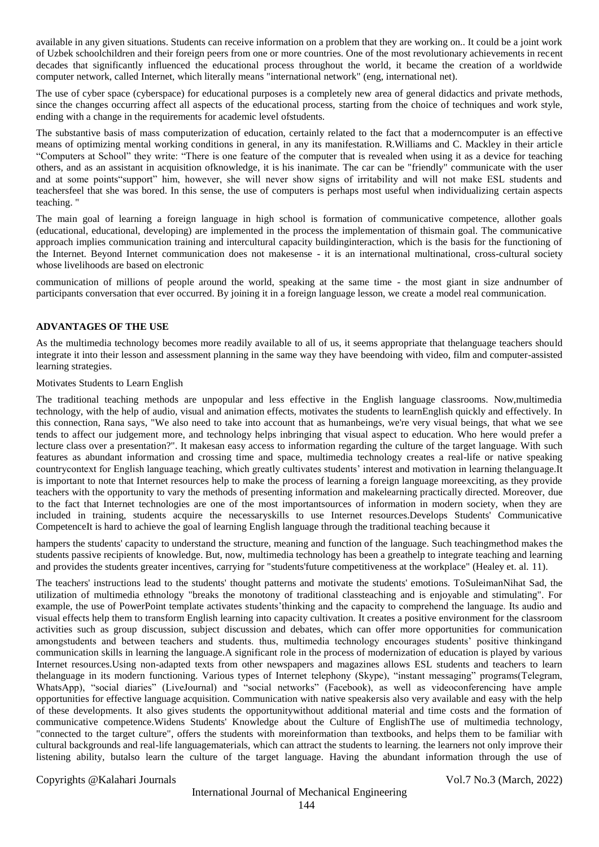available in any given situations. Students can receive information on a problem that they are working on.. It could be a joint work of Uzbek schoolchildren and their foreign peers from one or more countries. One of the most revolutionary achievements in recent decades that significantly influenced the educational process throughout the world, it became the creation of a worldwide computer network, called Internet, which literally means "international network" (eng, international net).

The use of cyber space (cyberspace) for educational purposes is a completely new area of general didactics and private methods, since the changes occurring affect all aspects of the educational process, starting from the choice of techniques and work style, ending with a change in the requirements for academic level ofstudents.

The substantive basis of mass computerization of education, certainly related to the fact that a moderncomputer is an effective means of optimizing mental working conditions in general, in any its manifestation. R.Williams and C. Mackley in their article "Computers at School" they write: "There is one feature of the computer that is revealed when using it as a device for teaching others, and as an assistant in acquisition ofknowledge, it is his inanimate. The car can be "friendly" communicate with the user and at some points"support" him, however, she will never show signs of irritability and will not make ESL students and teachersfeel that she was bored. In this sense, the use of computers is perhaps most useful when individualizing certain aspects teaching. "

The main goal of learning a foreign language in high school is formation of communicative competence, allother goals (educational, educational, developing) are implemented in the process the implementation of thismain goal. The communicative approach implies communication training and intercultural capacity buildinginteraction, which is the basis for the functioning of the Internet. Beyond Internet communication does not makesense - it is an international multinational, cross-cultural society whose livelihoods are based on electronic

communication of millions of people around the world, speaking at the same time - the most giant in size andnumber of participants conversation that ever occurred. By joining it in a foreign language lesson, we create a model real communication.

# **ADVANTAGES OF THE USE**

As the multimedia technology becomes more readily available to all of us, it seems appropriate that thelanguage teachers should integrate it into their lesson and assessment planning in the same way they have beendoing with video, film and computer-assisted learning strategies.

#### Motivates Students to Learn English

The traditional teaching methods are unpopular and less effective in the English language classrooms. Now,multimedia technology, with the help of audio, visual and animation effects, motivates the students to learnEnglish quickly and effectively. In this connection, Rana says, "We also need to take into account that as humanbeings, we're very visual beings, that what we see tends to affect our judgement more, and technology helps inbringing that visual aspect to education. Who here would prefer a lecture class over a presentation?". It makesan easy access to information regarding the culture of the target language. With such features as abundant information and crossing time and space, multimedia technology creates a real-life or native speaking countrycontext for English language teaching, which greatly cultivates students' interest and motivation in learning thelanguage.It is important to note that Internet resources help to make the process of learning a foreign language moreexciting, as they provide teachers with the opportunity to vary the methods of presenting information and makelearning practically directed. Moreover, due to the fact that Internet technologies are one of the most importantsources of information in modern society, when they are included in training, students acquire the necessaryskills to use Internet resources.Develops Students' Communicative CompetenceIt is hard to achieve the goal of learning English language through the traditional teaching because it

hampers the students' capacity to understand the structure, meaning and function of the language. Such teachingmethod makes the students passive recipients of knowledge. But, now, multimedia technology has been a greathelp to integrate teaching and learning and provides the students greater incentives, carrying for "students'future competitiveness at the workplace" (Healey et. al. 11).

The teachers' instructions lead to the students' thought patterns and motivate the students' emotions. ToSuleimanNihat Sad, the utilization of multimedia ethnology "breaks the monotony of traditional classteaching and is enjoyable and stimulating". For example, the use of PowerPoint template activates students'thinking and the capacity to comprehend the language. Its audio and visual effects help them to transform English learning into capacity cultivation. It creates a positive environment for the classroom activities such as group discussion, subject discussion and debates, which can offer more opportunities for communication amongstudents and between teachers and students. thus, multimedia technology encourages students' positive thinkingand communication skills in learning the language.A significant role in the process of modernization of education is played by various Internet resources.Using non-adapted texts from other newspapers and magazines allows ESL students and teachers to learn thelanguage in its modern functioning. Various types of Internet telephony (Skype), "instant messaging" programs(Telegram, WhatsApp), "social diaries" (LiveJournal) and "social networks" (Facebook), as well as videoconferencing have ample opportunities for effective language acquisition. Communication with native speakersis also very available and easy with the help of these developments. It also gives students the opportunitywithout additional material and time costs and the formation of communicative competence.Widens Students' Knowledge about the Culture of EnglishThe use of multimedia technology, "connected to the target culture", offers the students with moreinformation than textbooks, and helps them to be familiar with cultural backgrounds and real-life languagematerials, which can attract the students to learning. the learners not only improve their listening ability, butalso learn the culture of the target language. Having the abundant information through the use of

Copyrights @Kalahari Journals Vol.7 No.3 (March, 2022)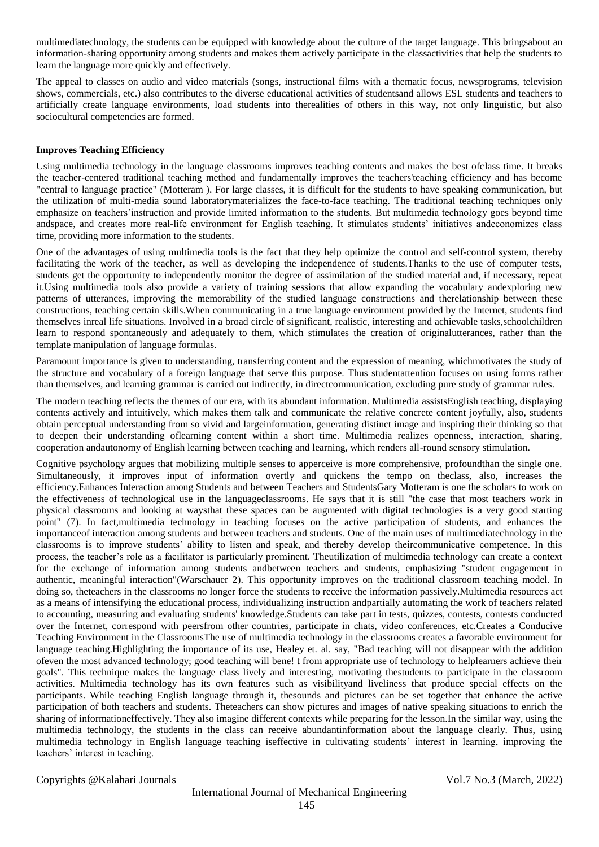multimediatechnology, the students can be equipped with knowledge about the culture of the target language. This bringsabout an information-sharing opportunity among students and makes them actively participate in the classactivities that help the students to learn the language more quickly and effectively.

The appeal to classes on audio and video materials (songs, instructional films with a thematic focus, newsprograms, television shows, commercials, etc.) also contributes to the diverse educational activities of studentsand allows ESL students and teachers to artificially create language environments, load students into therealities of others in this way, not only linguistic, but also sociocultural competencies are formed.

### **Improves Teaching Efficiency**

Using multimedia technology in the language classrooms improves teaching contents and makes the best ofclass time. It breaks the teacher-centered traditional teaching method and fundamentally improves the teachers'teaching efficiency and has become "central to language practice" (Motteram ). For large classes, it is difficult for the students to have speaking communication, but the utilization of multi-media sound laboratorymaterializes the face-to-face teaching. The traditional teaching techniques only emphasize on teachers'instruction and provide limited information to the students. But multimedia technology goes beyond time andspace, and creates more real-life environment for English teaching. It stimulates students' initiatives andeconomizes class time, providing more information to the students.

One of the advantages of using multimedia tools is the fact that they help optimize the control and self-control system, thereby facilitating the work of the teacher, as well as developing the independence of students.Thanks to the use of computer tests, students get the opportunity to independently monitor the degree of assimilation of the studied material and, if necessary, repeat it.Using multimedia tools also provide a variety of training sessions that allow expanding the vocabulary andexploring new patterns of utterances, improving the memorability of the studied language constructions and therelationship between these constructions, teaching certain skills.When communicating in a true language environment provided by the Internet, students find themselves inreal life situations. Involved in a broad circle of significant, realistic, interesting and achievable tasks,schoolchildren learn to respond spontaneously and adequately to them, which stimulates the creation of originalutterances, rather than the template manipulation of language formulas.

Paramount importance is given to understanding, transferring content and the expression of meaning, whichmotivates the study of the structure and vocabulary of a foreign language that serve this purpose. Thus studentattention focuses on using forms rather than themselves, and learning grammar is carried out indirectly, in directcommunication, excluding pure study of grammar rules.

The modern teaching reflects the themes of our era, with its abundant information. Multimedia assistsEnglish teaching, displaying contents actively and intuitively, which makes them talk and communicate the relative concrete content joyfully, also, students obtain perceptual understanding from so vivid and largeinformation, generating distinct image and inspiring their thinking so that to deepen their understanding oflearning content within a short time. Multimedia realizes openness, interaction, sharing, cooperation andautonomy of English learning between teaching and learning, which renders all-round sensory stimulation.

Cognitive psychology argues that mobilizing multiple senses to apperceive is more comprehensive, profoundthan the single one. Simultaneously, it improves input of information overtly and quickens the tempo on theclass, also, increases the efficiency.Enhances Interaction among Students and between Teachers and StudentsGary Motteram is one the scholars to work on the effectiveness of technological use in the languageclassrooms. He says that it is still "the case that most teachers work in physical classrooms and looking at waysthat these spaces can be augmented with digital technologies is a very good starting point" (7). In fact,multimedia technology in teaching focuses on the active participation of students, and enhances the importanceof interaction among students and between teachers and students. One of the main uses of multimediatechnology in the classrooms is to improve students' ability to listen and speak, and thereby develop theircommunicative competence. In this process, the teacher's role as a facilitator is particularly prominent. Theutilization of multimedia technology can create a context for the exchange of information among students and between teachers and students, emphasizing "student engagement in authentic, meaningful interaction"(Warschauer 2). This opportunity improves on the traditional classroom teaching model. In doing so, theteachers in the classrooms no longer force the students to receive the information passively.Multimedia resources act as a means of intensifying the educational process, individualizing instruction andpartially automating the work of teachers related to accounting, measuring and evaluating students' knowledge.Students can take part in tests, quizzes, contests, contests conducted over the Internet, correspond with peersfrom other countries, participate in chats, video conferences, etc.Creates a Conducive Teaching Environment in the ClassroomsThe use of multimedia technology in the classrooms creates a favorable environment for language teaching.Highlighting the importance of its use, Healey et. al. say, "Bad teaching will not disappear with the addition ofeven the most advanced technology; good teaching will bene! t from appropriate use of technology to helplearners achieve their goals". This technique makes the language class lively and interesting, motivating thestudents to participate in the classroom activities. Multimedia technology has its own features such as visibilityand liveliness that produce special effects on the participants. While teaching English language through it, thesounds and pictures can be set together that enhance the active participation of both teachers and students. Theteachers can show pictures and images of native speaking situations to enrich the sharing of informationeffectively. They also imagine different contexts while preparing for the lesson.In the similar way, using the multimedia technology, the students in the class can receive abundantinformation about the language clearly. Thus, using multimedia technology in English language teaching iseffective in cultivating students' interest in learning, improving the teachers' interest in teaching.

Copyrights @Kalahari Journals Vol.7 No.3 (March, 2022)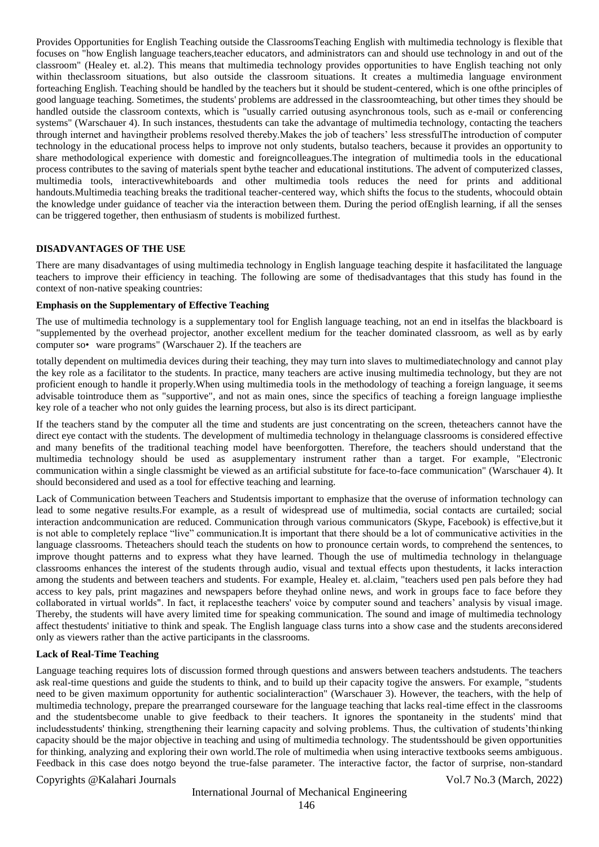Provides Opportunities for English Teaching outside the ClassroomsTeaching English with multimedia technology is flexible that focuses on "how English language teachers,teacher educators, and administrators can and should use technology in and out of the classroom" (Healey et. al.2). This means that multimedia technology provides opportunities to have English teaching not only within the classroom situations, but also outside the classroom situations. It creates a multimedia language environment forteaching English. Teaching should be handled by the teachers but it should be student-centered, which is one ofthe principles of good language teaching. Sometimes, the students' problems are addressed in the classroomteaching, but other times they should be handled outside the classroom contexts, which is "usually carried outusing asynchronous tools, such as e-mail or conferencing systems" (Warschauer 4). In such instances, thestudents can take the advantage of multimedia technology, contacting the teachers through internet and havingtheir problems resolved thereby.Makes the job of teachers' less stressfulThe introduction of computer technology in the educational process helps to improve not only students, butalso teachers, because it provides an opportunity to share methodological experience with domestic and foreigncolleagues.The integration of multimedia tools in the educational process contributes to the saving of materials spent bythe teacher and educational institutions. The advent of computerized classes, multimedia tools, interactivewhiteboards and other multimedia tools reduces the need for prints and additional handouts.Multimedia teaching breaks the traditional teacher-centered way, which shifts the focus to the students, whocould obtain the knowledge under guidance of teacher via the interaction between them. During the period ofEnglish learning, if all the senses can be triggered together, then enthusiasm of students is mobilized furthest.

### **DISADVANTAGES OF THE USE**

There are many disadvantages of using multimedia technology in English language teaching despite it hasfacilitated the language teachers to improve their efficiency in teaching. The following are some of thedisadvantages that this study has found in the context of non-native speaking countries:

### **Emphasis on the Supplementary of Effective Teaching**

The use of multimedia technology is a supplementary tool for English language teaching, not an end in itselfas the blackboard is "supplemented by the overhead projector, another excellent medium for the teacher dominated classroom, as well as by early computer so• ware programs" (Warschauer 2). If the teachers are

totally dependent on multimedia devices during their teaching, they may turn into slaves to multimediatechnology and cannot play the key role as a facilitator to the students. In practice, many teachers are active inusing multimedia technology, but they are not proficient enough to handle it properly.When using multimedia tools in the methodology of teaching a foreign language, it seems advisable tointroduce them as "supportive", and not as main ones, since the specifics of teaching a foreign language impliesthe key role of a teacher who not only guides the learning process, but also is its direct participant.

If the teachers stand by the computer all the time and students are just concentrating on the screen, theteachers cannot have the direct eye contact with the students. The development of multimedia technology in thelanguage classrooms is considered effective and many benefits of the traditional teaching model have beenforgotten. Therefore, the teachers should understand that the multimedia technology should be used as asupplementary instrument rather than a target. For example, "Electronic communication within a single classmight be viewed as an artificial substitute for face-to-face communication" (Warschauer 4). It should beconsidered and used as a tool for effective teaching and learning.

Lack of Communication between Teachers and Studentsis important to emphasize that the overuse of information technology can lead to some negative results.For example, as a result of widespread use of multimedia, social contacts are curtailed; social interaction andcommunication are reduced. Communication through various communicators (Skype, Facebook) is effective,but it is not able to completely replace "live" communication.It is important that there should be a lot of communicative activities in the language classrooms. Theteachers should teach the students on how to pronounce certain words, to comprehend the sentences, to improve thought patterns and to express what they have learned. Though the use of multimedia technology in thelanguage classrooms enhances the interest of the students through audio, visual and textual effects upon thestudents, it lacks interaction among the students and between teachers and students. For example, Healey et. al.claim, "teachers used pen pals before they had access to key pals, print magazines and newspapers before theyhad online news, and work in groups face to face before they collaborated in virtual worlds". In fact, it replacesthe teachers' voice by computer sound and teachers' analysis by visual image. Thereby, the students will have avery limited time for speaking communication. The sound and image of multimedia technology affect thestudents' initiative to think and speak. The English language class turns into a show case and the students areconsidered only as viewers rather than the active participants in the classrooms.

### **Lack of Real-Time Teaching**

Language teaching requires lots of discussion formed through questions and answers between teachers andstudents. The teachers ask real-time questions and guide the students to think, and to build up their capacity togive the answers. For example, "students need to be given maximum opportunity for authentic socialinteraction" (Warschauer 3). However, the teachers, with the help of multimedia technology, prepare the prearranged courseware for the language teaching that lacks real-time effect in the classrooms and the studentsbecome unable to give feedback to their teachers. It ignores the spontaneity in the students' mind that includesstudents' thinking, strengthening their learning capacity and solving problems. Thus, the cultivation of students'thinking capacity should be the major objective in teaching and using of multimedia technology. The studentsshould be given opportunities for thinking, analyzing and exploring their own world.The role of multimedia when using interactive textbooks seems ambiguous. Feedback in this case does notgo beyond the true-false parameter. The interactive factor, the factor of surprise, non-standard

### Copyrights @Kalahari Journals Vol.7 No.3 (March, 2022)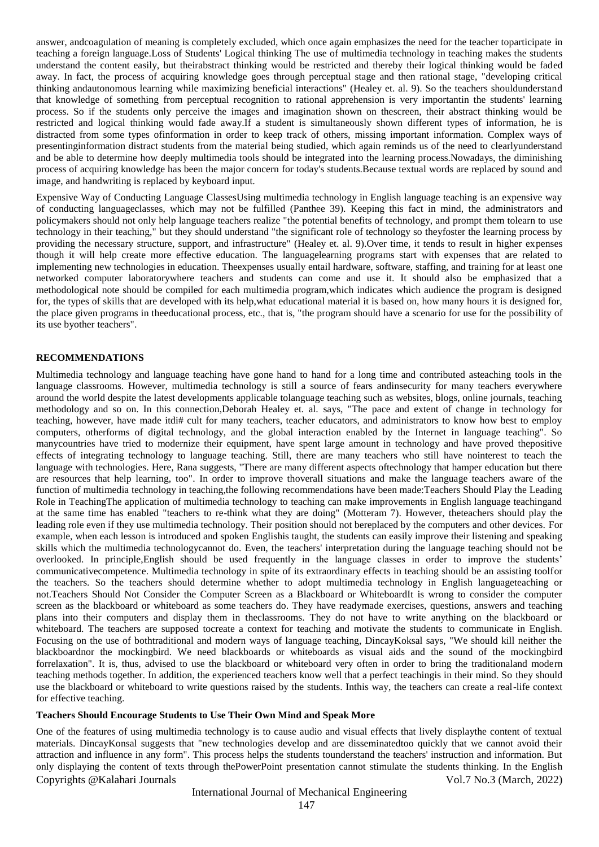answer, andcoagulation of meaning is completely excluded, which once again emphasizes the need for the teacher toparticipate in teaching a foreign language.Loss of Students' Logical thinking The use of multimedia technology in teaching makes the students understand the content easily, but theirabstract thinking would be restricted and thereby their logical thinking would be faded away. In fact, the process of acquiring knowledge goes through perceptual stage and then rational stage, "developing critical thinking andautonomous learning while maximizing beneficial interactions" (Healey et. al. 9). So the teachers shouldunderstand that knowledge of something from perceptual recognition to rational apprehension is very importantin the students' learning process. So if the students only perceive the images and imagination shown on thescreen, their abstract thinking would be restricted and logical thinking would fade away.If a student is simultaneously shown different types of information, he is distracted from some types ofinformation in order to keep track of others, missing important information. Complex ways of presentinginformation distract students from the material being studied, which again reminds us of the need to clearlyunderstand and be able to determine how deeply multimedia tools should be integrated into the learning process.Nowadays, the diminishing process of acquiring knowledge has been the major concern for today's students.Because textual words are replaced by sound and image, and handwriting is replaced by keyboard input.

Expensive Way of Conducting Language ClassesUsing multimedia technology in English language teaching is an expensive way of conducting languageclasses, which may not be fulfilled (Panthee 39). Keeping this fact in mind, the administrators and policymakers should not only help language teachers realize "the potential benefits of technology, and prompt them tolearn to use technology in their teaching," but they should understand "the significant role of technology so theyfoster the learning process by providing the necessary structure, support, and infrastructure" (Healey et. al. 9).Over time, it tends to result in higher expenses though it will help create more effective education. The languagelearning programs start with expenses that are related to implementing new technologies in education. Theexpenses usually entail hardware, software, staffing, and training for at least one networked computer laboratorywhere teachers and students can come and use it. It should also be emphasized that a methodological note should be compiled for each multimedia program,which indicates which audience the program is designed for, the types of skills that are developed with its help,what educational material it is based on, how many hours it is designed for, the place given programs in theeducational process, etc., that is, "the program should have a scenario for use for the possibility of its use byother teachers".

# **RECOMMENDATIONS**

Multimedia technology and language teaching have gone hand to hand for a long time and contributed asteaching tools in the language classrooms. However, multimedia technology is still a source of fears andinsecurity for many teachers everywhere around the world despite the latest developments applicable tolanguage teaching such as websites, blogs, online journals, teaching methodology and so on. In this connection,Deborah Healey et. al. says, "The pace and extent of change in technology for teaching, however, have made itdi# cult for many teachers, teacher educators, and administrators to know how best to employ computers, otherforms of digital technology, and the global interaction enabled by the Internet in language teaching". So manycountries have tried to modernize their equipment, have spent large amount in technology and have proved thepositive effects of integrating technology to language teaching. Still, there are many teachers who still have nointerest to teach the language with technologies. Here, Rana suggests, "There are many different aspects oftechnology that hamper education but there are resources that help learning, too". In order to improve thoverall situations and make the language teachers aware of the function of multimedia technology in teaching,the following recommendations have been made:Teachers Should Play the Leading Role in TeachingThe application of multimedia technology to teaching can make improvements in English language teachingand at the same time has enabled "teachers to re-think what they are doing" (Motteram 7). However, theteachers should play the leading role even if they use multimedia technology. Their position should not bereplaced by the computers and other devices. For example, when each lesson is introduced and spoken Englishis taught, the students can easily improve their listening and speaking skills which the multimedia technologycannot do. Even, the teachers' interpretation during the language teaching should not be overlooked. In principle,English should be used frequently in the language classes in order to improve the students' communicativecompetence. Multimedia technology in spite of its extraordinary effects in teaching should be an assisting toolfor the teachers. So the teachers should determine whether to adopt multimedia technology in English languageteaching or not.Teachers Should Not Consider the Computer Screen as a Blackboard or WhiteboardIt is wrong to consider the computer screen as the blackboard or whiteboard as some teachers do. They have readymade exercises, questions, answers and teaching plans into their computers and display them in theclassrooms. They do not have to write anything on the blackboard or whiteboard. The teachers are supposed tocreate a context for teaching and motivate the students to communicate in English. Focusing on the use of bothtraditional and modern ways of language teaching, DincayKoksal says, "We should kill neither the blackboardnor the mockingbird. We need blackboards or whiteboards as visual aids and the sound of the mockingbird forrelaxation". It is, thus, advised to use the blackboard or whiteboard very often in order to bring the traditionaland modern teaching methods together. In addition, the experienced teachers know well that a perfect teachingis in their mind. So they should use the blackboard or whiteboard to write questions raised by the students. Inthis way, the teachers can create a real-life context for effective teaching.

#### **Teachers Should Encourage Students to Use Their Own Mind and Speak More**

Copyrights @Kalahari Journals Vol.7 No.3 (March, 2022) One of the features of using multimedia technology is to cause audio and visual effects that lively displaythe content of textual materials. DincayKonsal suggests that "new technologies develop and are disseminatedtoo quickly that we cannot avoid their attraction and influence in any form". This process helps the students tounderstand the teachers' instruction and information. But only displaying the content of texts through thePowerPoint presentation cannot stimulate the students thinking. In the English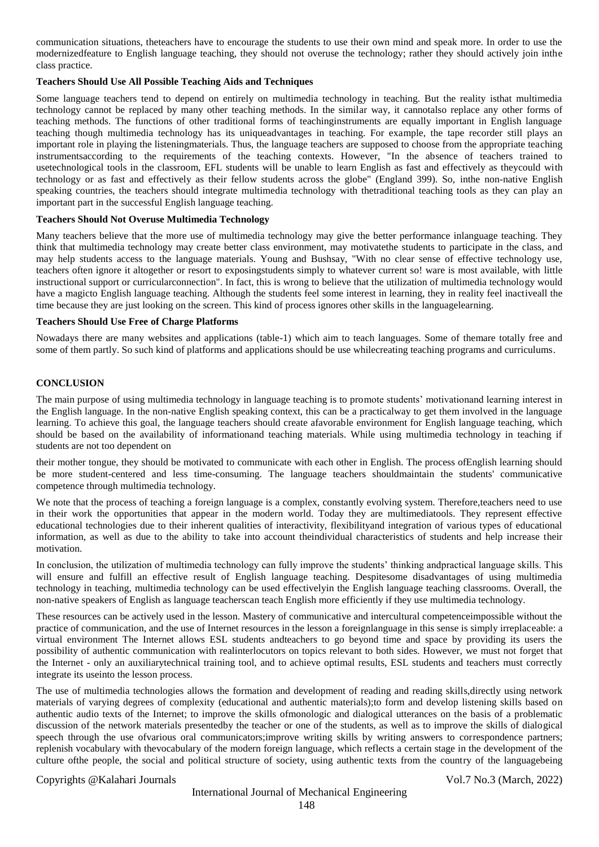communication situations, theteachers have to encourage the students to use their own mind and speak more. In order to use the modernizedfeature to English language teaching, they should not overuse the technology; rather they should actively join inthe class practice.

### **Teachers Should Use All Possible Teaching Aids and Techniques**

Some language teachers tend to depend on entirely on multimedia technology in teaching. But the reality isthat multimedia technology cannot be replaced by many other teaching methods. In the similar way, it cannotalso replace any other forms of teaching methods. The functions of other traditional forms of teachinginstruments are equally important in English language teaching though multimedia technology has its uniqueadvantages in teaching. For example, the tape recorder still plays an important role in playing the listeningmaterials. Thus, the language teachers are supposed to choose from the appropriate teaching instrumentsaccording to the requirements of the teaching contexts. However, "In the absence of teachers trained to usetechnological tools in the classroom, EFL students will be unable to learn English as fast and effectively as theycould with technology or as fast and effectively as their fellow students across the globe" (England 399). So, inthe non-native English speaking countries, the teachers should integrate multimedia technology with thetraditional teaching tools as they can play an important part in the successful English language teaching.

#### **Teachers Should Not Overuse Multimedia Technology**

Many teachers believe that the more use of multimedia technology may give the better performance inlanguage teaching. They think that multimedia technology may create better class environment, may motivatethe students to participate in the class, and may help students access to the language materials. Young and Bushsay, "With no clear sense of effective technology use, teachers often ignore it altogether or resort to exposingstudents simply to whatever current so! ware is most available, with little instructional support or curricularconnection". In fact, this is wrong to believe that the utilization of multimedia technology would have a magicto English language teaching. Although the students feel some interest in learning, they in reality feel inactiveall the time because they are just looking on the screen. This kind of process ignores other skills in the languagelearning.

#### **Teachers Should Use Free of Charge Platforms**

Nowadays there are many websites and applications (table-1) which aim to teach languages. Some of themare totally free and some of them partly. So such kind of platforms and applications should be use whilecreating teaching programs and curriculums.

#### **CONCLUSION**

The main purpose of using multimedia technology in language teaching is to promote students' motivationand learning interest in the English language. In the non-native English speaking context, this can be a practicalway to get them involved in the language learning. To achieve this goal, the language teachers should create afavorable environment for English language teaching, which should be based on the availability of informationand teaching materials. While using multimedia technology in teaching if students are not too dependent on

their mother tongue, they should be motivated to communicate with each other in English. The process ofEnglish learning should be more student-centered and less time-consuming. The language teachers shouldmaintain the students' communicative competence through multimedia technology.

We note that the process of teaching a foreign language is a complex, constantly evolving system. Therefore, teachers need to use in their work the opportunities that appear in the modern world. Today they are multimediatools. They represent effective educational technologies due to their inherent qualities of interactivity, flexibilityand integration of various types of educational information, as well as due to the ability to take into account theindividual characteristics of students and help increase their motivation.

In conclusion, the utilization of multimedia technology can fully improve the students' thinking andpractical language skills. This will ensure and fulfill an effective result of English language teaching. Despitesome disadvantages of using multimedia technology in teaching, multimedia technology can be used effectivelyin the English language teaching classrooms. Overall, the non-native speakers of English as language teacherscan teach English more efficiently if they use multimedia technology.

These resources can be actively used in the lesson. Mastery of communicative and intercultural competenceimpossible without the practice of communication, and the use of Internet resources in the lesson a foreignlanguage in this sense is simply irreplaceable: a virtual environment The Internet allows ESL students andteachers to go beyond time and space by providing its users the possibility of authentic communication with realinterlocutors on topics relevant to both sides. However, we must not forget that the Internet - only an auxiliarytechnical training tool, and to achieve optimal results, ESL students and teachers must correctly integrate its useinto the lesson process.

The use of multimedia technologies allows the formation and development of reading and reading skills,directly using network materials of varying degrees of complexity (educational and authentic materials);to form and develop listening skills based on authentic audio texts of the Internet; to improve the skills ofmonologic and dialogical utterances on the basis of a problematic discussion of the network materials presentedby the teacher or one of the students, as well as to improve the skills of dialogical speech through the use ofvarious oral communicators;improve writing skills by writing answers to correspondence partners; replenish vocabulary with thevocabulary of the modern foreign language, which reflects a certain stage in the development of the culture ofthe people, the social and political structure of society, using authentic texts from the country of the languagebeing

# Copyrights @Kalahari Journals Vol.7 No.3 (March, 2022)